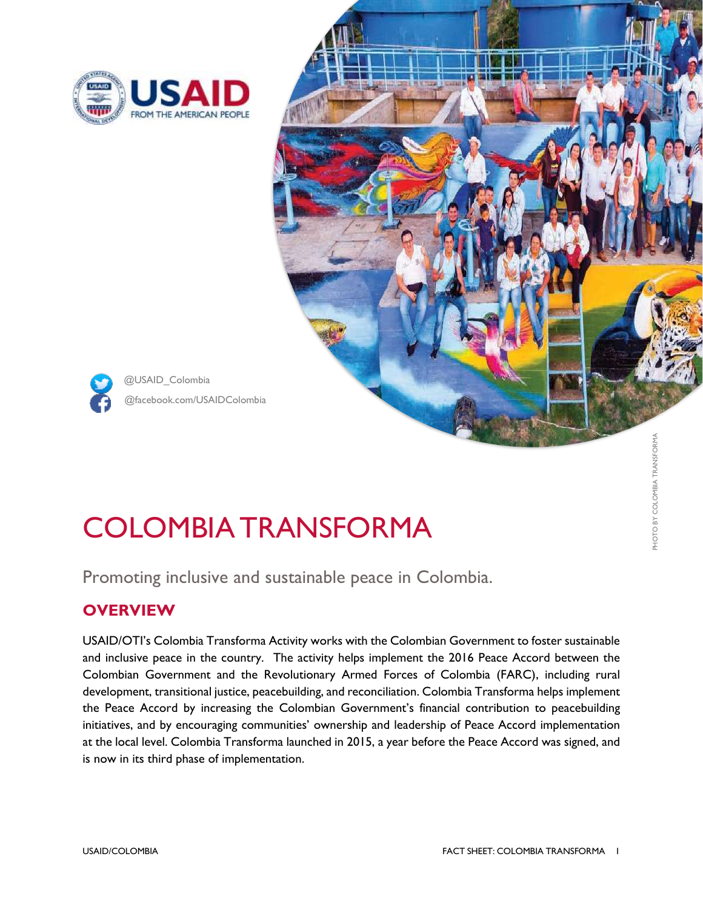

@USAID\_Colombia



# COLOMBIA TRANSFORMA

Promoting inclusive and sustainable peace in Colombia.

## **OVERVIEW**

USAID/OTI's Colombia Transforma Activity works with the Colombian Government to foster sustainable and inclusive peace in the country. The activity helps implement the 2016 Peace Accord between the Colombian Government and the Revolutionary Armed Forces of Colombia (FARC), including rural development, transitional justice, peacebuilding, and reconciliation. Colombia Transforma helps implement the Peace Accord by increasing the Colombian Government's financial contribution to peacebuilding initiatives, and by encouraging communities' ownership and leadership of Peace Accord implementation at the local level. Colombia Transforma launched in 2015, a year before the Peace Accord was signed, and is now in its third phase of implementation.